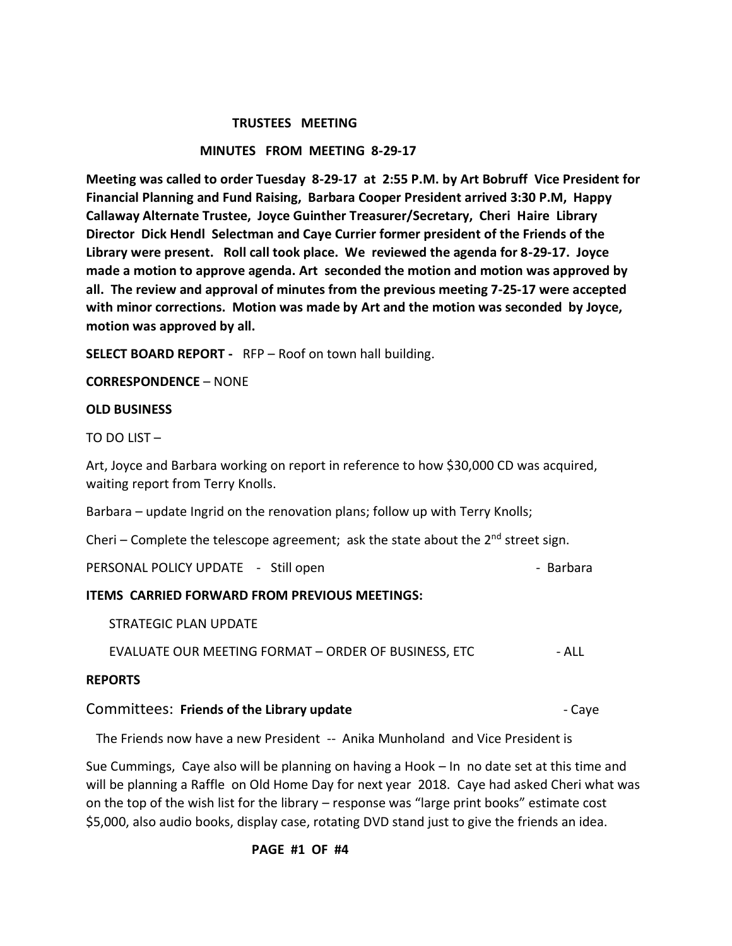#### **TRUSTEES MEETING**

#### **MINUTES FROM MEETING 8-29-17**

**Meeting was called to order Tuesday 8-29-17 at 2:55 P.M. by Art Bobruff Vice President for Financial Planning and Fund Raising, Barbara Cooper President arrived 3:30 P.M, Happy Callaway Alternate Trustee, Joyce Guinther Treasurer/Secretary, Cheri Haire Library Director Dick Hendl Selectman and Caye Currier former president of the Friends of the Library were present. Roll call took place. We reviewed the agenda for 8-29-17. Joyce made a motion to approve agenda. Art seconded the motion and motion was approved by all. The review and approval of minutes from the previous meeting 7-25-17 were accepted with minor corrections. Motion was made by Art and the motion was seconded by Joyce, motion was approved by all.**

**SELECT BOARD REPORT -** RFP – Roof on town hall building.

**CORRESPONDENCE** – NONE

#### **OLD BUSINESS**

TO DO LIST –

Art, Joyce and Barbara working on report in reference to how \$30,000 CD was acquired, waiting report from Terry Knolls.

Barbara – update Ingrid on the renovation plans; follow up with Terry Knolls;

Cheri – Complete the telescope agreement; ask the state about the  $2^{nd}$  street sign.

PERSONAL POLICY UPDATE - Still open - Barbara - Barbara

#### **ITEMS CARRIED FORWARD FROM PREVIOUS MEETINGS:**

STRATEGIC PLAN UPDATE

EVALUATE OUR MEETING FORMAT – ORDER OF BUSINESS, ETC - ALL

#### **REPORTS**

#### **Committees: Friends of the Library update Figure 2012 Caye - Caye**

The Friends now have a new President -- Anika Munholand and Vice President is

Sue Cummings, Caye also will be planning on having a Hook – In no date set at this time and will be planning a Raffle on Old Home Day for next year 2018. Caye had asked Cheri what was on the top of the wish list for the library – response was "large print books" estimate cost \$5,000, also audio books, display case, rotating DVD stand just to give the friends an idea.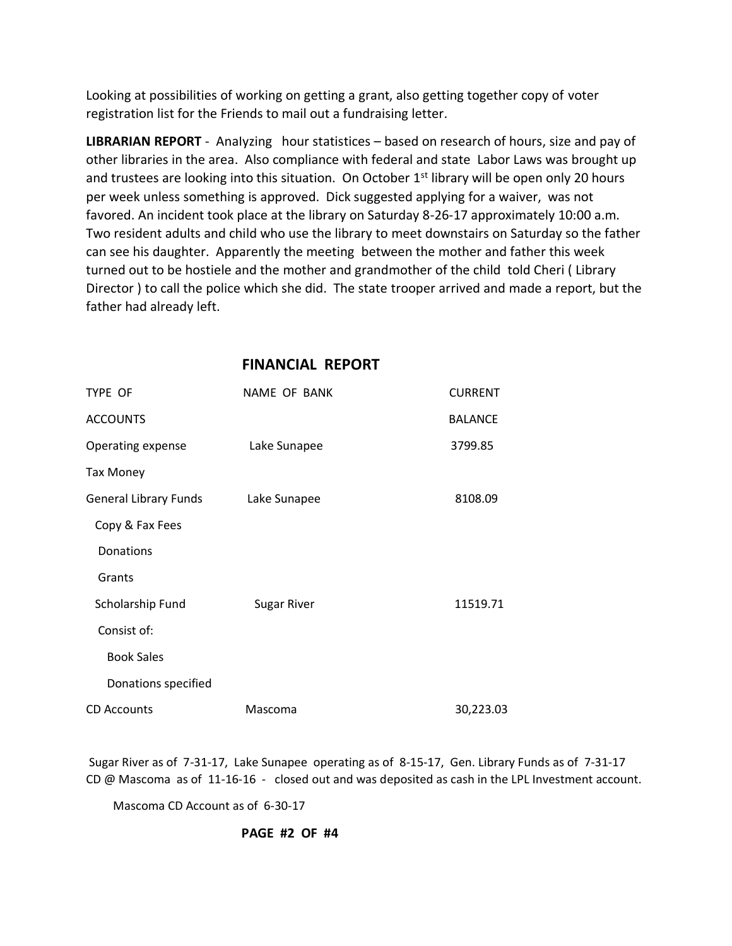Looking at possibilities of working on getting a grant, also getting together copy of voter registration list for the Friends to mail out a fundraising letter.

**LIBRARIAN REPORT** - AnaIyzing hour statistices – based on research of hours, size and pay of other libraries in the area. Also compliance with federal and state Labor Laws was brought up and trustees are looking into this situation. On October 1<sup>st</sup> library will be open only 20 hours per week unless something is approved. Dick suggested applying for a waiver, was not favored. An incident took place at the library on Saturday 8-26-17 approximately 10:00 a.m. Two resident adults and child who use the library to meet downstairs on Saturday so the father can see his daughter. Apparently the meeting between the mother and father this week turned out to be hostiele and the mother and grandmother of the child told Cheri ( Library Director ) to call the police which she did. The state trooper arrived and made a report, but the father had already left.

| TYPE OF                      | NAME OF BANK       | <b>CURRENT</b> |
|------------------------------|--------------------|----------------|
| <b>ACCOUNTS</b>              |                    | <b>BALANCE</b> |
| Operating expense            | Lake Sunapee       | 3799.85        |
| <b>Tax Money</b>             |                    |                |
| <b>General Library Funds</b> | Lake Sunapee       | 8108.09        |
| Copy & Fax Fees              |                    |                |
| Donations                    |                    |                |
| Grants                       |                    |                |
| Scholarship Fund             | <b>Sugar River</b> | 11519.71       |
| Consist of:                  |                    |                |
| <b>Book Sales</b>            |                    |                |
| Donations specified          |                    |                |
| <b>CD Accounts</b>           | Mascoma            | 30,223.03      |

### **FINANCIAL REPORT**

Sugar River as of 7-31-17, Lake Sunapee operating as of 8-15-17, Gen. Library Funds as of 7-31-17 CD @ Mascoma as of 11-16-16 - closed out and was deposited as cash in the LPL Investment account.

Mascoma CD Account as of 6-30-17

### **PAGE #2 OF #4**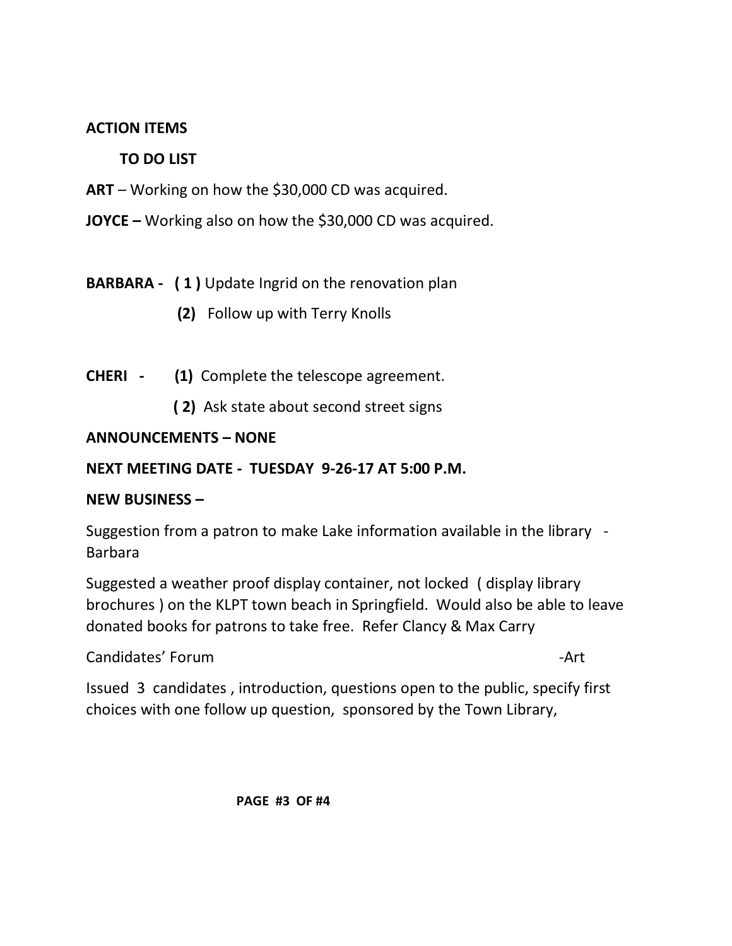## **ACTION ITEMS**

## **TO DO LIST**

- **ART**  Working on how the \$30,000 CD was acquired.
- **JOYCE –** Working also on how the \$30,000 CD was acquired.

# **BARBARA - ( 1 )** Update Ingrid on the renovation plan

- **(2)** Follow up with Terry Knolls
- **CHERI (1)** Complete the telescope agreement.
	- **( 2)** Ask state about second street signs

### **ANNOUNCEMENTS – NONE**

### **NEXT MEETING DATE - TUESDAY 9-26-17 AT 5:00 P.M.**

### **NEW BUSINESS –**

Suggestion from a patron to make Lake information available in the library - Barbara

Suggested a weather proof display container, not locked ( display library brochures ) on the KLPT town beach in Springfield. Would also be able to leave donated books for patrons to take free. Refer Clancy & Max Carry

Candidates' Forum and the contract of the contract of the contract of the contract of the contract of the contract of the contract of the contract of the contract of the contract of the contract of the contract of the cont

Issued 3 candidates , introduction, questions open to the public, specify first choices with one follow up question, sponsored by the Town Library,

 **PAGE #3 OF #4**